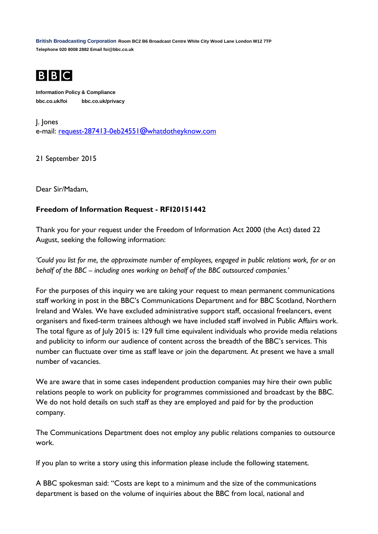**British Broadcasting Corporation Room BC2 B6 Broadcast Centre White City Wood Lane London W12 7TP Telephone 020 8008 2882 Email foi@bbc.co.uk**



**Information Policy & Compliance bbc.co.uk/foi bbc.co.uk/privacy**

J. Jones e-mail: [request-287413-0eb24551@whatdotheyknow.com](mailto:xxxxxxxxxxxxxxxxxxxxxxx@xxxxxxxxxxxxxx.xxx)

21 September 2015

Dear Sir/Madam,

## **Freedom of Information Request - RFI20151442**

Thank you for your request under the Freedom of Information Act 2000 (the Act) dated 22 August, seeking the following information:

*'Could you list for me, the approximate number of employees, engaged in public relations work, for or on behalf of the BBC – including ones working on behalf of the BBC outsourced companies.'*

For the purposes of this inquiry we are taking your request to mean permanent communications staff working in post in the BBC's Communications Department and for BBC Scotland, Northern Ireland and Wales. We have excluded administrative support staff, occasional freelancers, event organisers and fixed-term trainees although we have included staff involved in Public Affairs work. The total figure as of July 2015 is: 129 full time equivalent individuals who provide media relations and publicity to inform our audience of content across the breadth of the BBC's services. This number can fluctuate over time as staff leave or join the department. At present we have a small number of vacancies.

We are aware that in some cases independent production companies may hire their own public relations people to work on publicity for programmes commissioned and broadcast by the BBC. We do not hold details on such staff as they are employed and paid for by the production company.

The Communications Department does not employ any public relations companies to outsource work.

If you plan to write a story using this information please include the following statement.

A BBC spokesman said: "Costs are kept to a minimum and the size of the communications department is based on the volume of inquiries about the BBC from local, national and